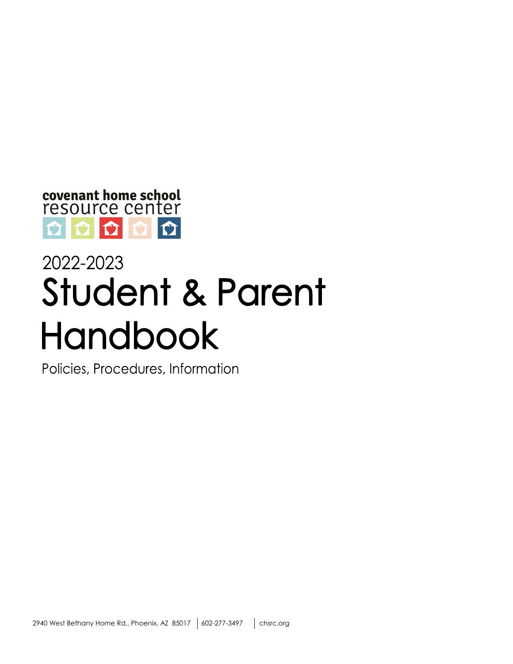

# 2022-2023 **Student & Parent Handbook**

Policies, Procedures, Information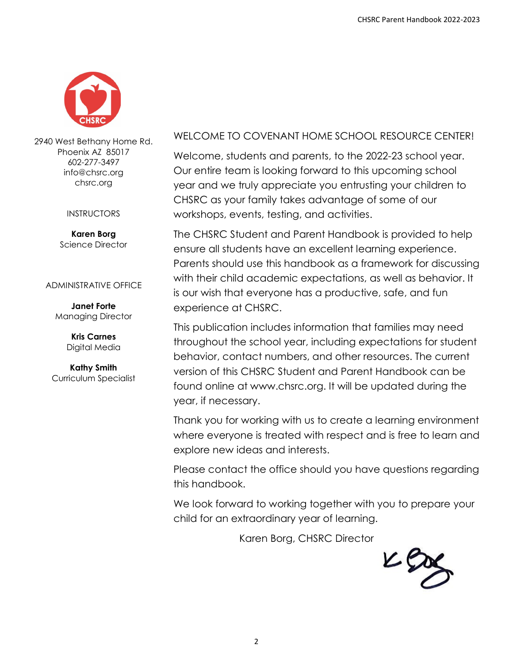

2940 West Bethany Home Rd. Phoenix AZ 85017 602-277-3497 info@chsrc.org chsrc.org

#### INSTRUCTORS

**Karen Borg** Science Director

#### ADMINISTRATIVE OFFICE

**Janet Forte** Managing Director

> **Kris Carnes** Digital Media

**Kathy Smith** Curriculum Specialist

#### WELCOME TO COVENANT HOME SCHOOL RESOURCE CENTER!

Welcome, students and parents, to the 2022-23 school year. Our entire team is looking forward to this upcoming school year and we truly appreciate you entrusting your children to CHSRC as your family takes advantage of some of our workshops, events, testing, and activities.

The CHSRC Student and Parent Handbook is provided to help ensure all students have an excellent learning experience. Parents should use this handbook as a framework for discussing with their child academic expectations, as well as behavior. It is our wish that everyone has a productive, safe, and fun experience at CHSRC.

This publication includes information that families may need throughout the school year, including expectations for student behavior, contact numbers, and other resources. The current version of this CHSRC Student and Parent Handbook can be found online at www.chsrc.org. It will be updated during the year, if necessary.

Thank you for working with us to create a learning environment where everyone is treated with respect and is free to learn and explore new ideas and interests.

Please contact the office should you have questions regarding this handbook.

We look forward to working together with you to prepare your child for an extraordinary year of learning.

Karen Borg, CHSRC Director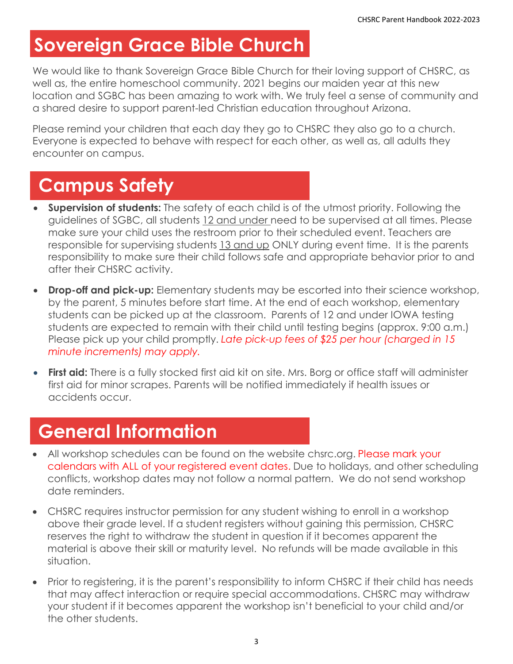## **Sovereign Grace Bible Church**

We would like to thank Sovereign Grace Bible Church for their loving support of CHSRC, as well as, the entire homeschool community. 2021 begins our maiden year at this new location and SGBC has been amazing to work with. We truly feel a sense of community and a shared desire to support parent-led Christian education throughout Arizona.

Please remind your children that each day they go to CHSRC they also go to a church. Everyone is expected to behave with respect for each other, as well as, all adults they encounter on campus.

### **Campus Safety**

- **Supervision of students:** The safety of each child is of the utmost priority. Following the guidelines of SGBC, all students 12 and under need to be supervised at all times. Please make sure your child uses the restroom prior to their scheduled event. Teachers are responsible for supervising students 13 and up ONLY during event time. It is the parents responsibility to make sure their child follows safe and appropriate behavior prior to and after their CHSRC activity.
- **Drop-off and pick-up:** Elementary students may be escorted into their science workshop, by the parent, 5 minutes before start time. At the end of each workshop, elementary students can be picked up at the classroom. Parents of 12 and under IOWA testing students are expected to remain with their child until testing begins (approx. 9:00 a.m.) Please pick up your child promptly. *Late pick-up fees of \$25 per hour (charged in 15 minute increments) may apply.*
- **First aid:** There is a fully stocked first aid kit on site. Mrs. Borg or office staff will administer first aid for minor scrapes. Parents will be notified immediately if health issues or accidents occur.

### **General Information**

- All workshop schedules can be found on the website chsrc.org. Please mark your calendars with ALL of your registered event dates. Due to holidays, and other scheduling conflicts, workshop dates may not follow a normal pattern. We do not send workshop date reminders.
- CHSRC requires instructor permission for any student wishing to enroll in a workshop above their grade level. If a student registers without gaining this permission, CHSRC reserves the right to withdraw the student in question if it becomes apparent the material is above their skill or maturity level. No refunds will be made available in this situation.
- Prior to registering, it is the parent's responsibility to inform CHSRC if their child has needs that may affect interaction or require special accommodations. CHSRC may withdraw your student if it becomes apparent the workshop isn't beneficial to your child and/or the other students.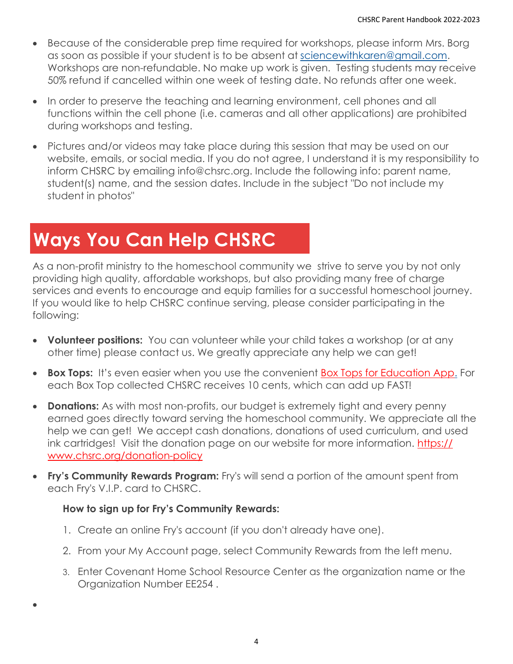- Because of the considerable prep time required for workshops, please inform Mrs. Borg as soon as possible if your student is to be absent at [sciencewithkaren@gmail.com.](mailto:sciencewithkaren@gmail.com) Workshops are non-refundable. No make up work is given. Testing students may receive 50% refund if cancelled within one week of testing date. No refunds after one week.
- In order to preserve the teaching and learning environment, cell phones and all functions within the cell phone (i.e. cameras and all other applications) are prohibited during workshops and testing.
- Pictures and/or videos may take place during this session that may be used on our website, emails, or social media. If you do not agree, I understand it is my responsibility to inform CHSRC by emailing info@chsrc.org. Include the following info: parent name, student(s) name, and the session dates. Include in the subject "Do not include my student in photos"

# **Ways You Can Help CHSRC**

As a non-profit ministry to the homeschool community we strive to serve you by not only providing high quality, affordable workshops, but also providing many free of charge services and events to encourage and equip families for a successful homeschool journey. If you would like to help CHSRC continue serving, please consider participating in the following:

- **Volunteer positions:** You can volunteer while your child takes a workshop (or at any other time) please contact us. We greatly appreciate any help we can get!
- **Box Tops:** It's even easier when you use the convenient **[Box Tops for Education App.](https://www.boxtops4education.com/)** For each Box Top collected CHSRC receives 10 cents, which can add up FAST!
- **Donations:** As with most non-profits, our budget is extremely tight and every penny earned goes directly toward serving the homeschool community. We appreciate all the help we can get! We accept cash donations, donations of used curriculum, and used ink cartridges! Visit the donation page on our website for more information. [https://](https://www.chsrc.org/donation-policy) [www.chsrc.org/donation-policy](https://www.chsrc.org/donation-policy)
- **Fry's Community Rewards Program:** Fry's will send a portion of the amount spent from each Fry's V.I.P. card to CHSRC.

#### **How to sign up for Fry's Community Rewards:**

•

- 1. Create an online Fry's account (if you don't already have one).
- 2. From your My Account page[, se](https://www.frysfood.com/)lect Community Rewards from the left menu.
- 3. Enter Covenant Home School Resource Center as the organization name or the Organization Number EE254 .